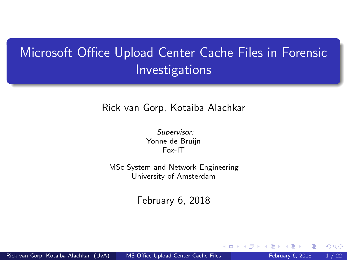# <span id="page-0-0"></span>Microsoft Office Upload Center Cache Files in Forensic Investigations

Rick van Gorp, Kotaiba Alachkar

Supervisor: Yonne de Bruijn Fox-IT

MSc System and Network Engineering University of Amsterdam

February 6, 2018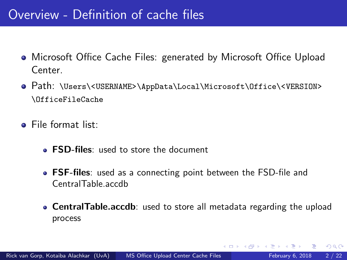### Overview - Definition of cache files

- Microsoft Office Cache Files: generated by Microsoft Office Upload Center.
- Path: \Users\<USERNAME>\AppData\Local\Microsoft\Office\<VERSION> \OfficeFileCache
- File format list:
	- **FSD-files:** used to store the document
	- **FSF-files**: used as a connecting point between the FSD-file and CentralTable.accdb
	- **CentralTable.accdb**: used to store all metadata regarding the upload process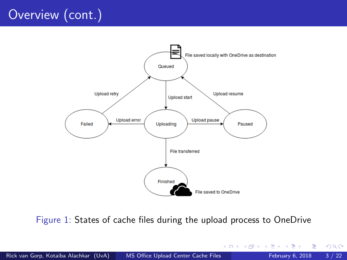# <span id="page-2-0"></span>Overview (cont.)



Figure 1: States of cache files during the upload process to OneDrive

э

イロト イ押 トイヨト イヨ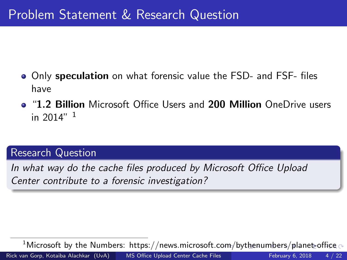- <span id="page-3-0"></span>Only speculation on what forensic value the FSD- and FSF- files have
- "1.2 Billion Microsoft Office Users and 200 Million OneDrive users in  $2014"$ <sup>1</sup>

#### Research Question

In what way do the cache files produced by Microsoft Office Upload Center contribute to a forensic investigation?

 $^1$ Microsoft by the Numbers: https://news.microsoft.c[om](#page-2-0)[/b](#page-4-0)[yt](#page-2-0)[he](#page-3-0)[n](#page-4-0)[u](#page-2-0)[mb](#page-3-0)[er](#page-4-0)[s](#page-2-0)[/pl](#page-3-0)[a](#page-4-0)[net](#page-0-0)[-offi](#page-21-0)ce  $\sim$ Rick van Gorp, Kotaiba Alachkar (UvA) [MS Office Upload Center Cache Files](#page-0-0) February 6, 2018 4/22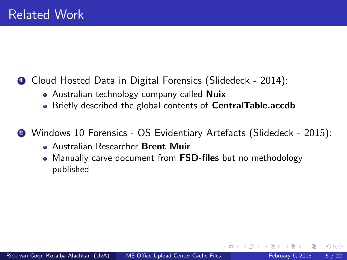### <span id="page-4-0"></span>**1** Cloud Hosted Data in Digital Forensics (Slidedeck - 2014):

- Australian technology company called **Nuix**
- Briefly described the global contents of **CentralTable.accdb**

<sup>2</sup> Windows 10 Forensics - OS Evidentiary Artefacts (Slidedeck - 2015):

- Australian Researcher Brent Muir
- Manually carve document from **FSD-files** but no methodology published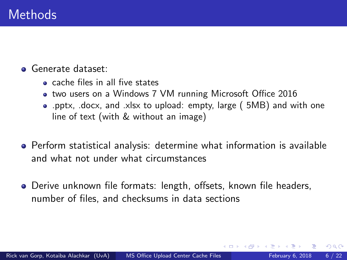#### Generate dataset:

- cache files in all five states
- two users on a Windows 7 VM running Microsoft Office 2016
- .pptx, .docx, and .xlsx to upload: empty, large ( 5MB) and with one line of text (with & without an image)
- Perform statistical analysis: determine what information is available and what not under what circumstances
- Derive unknown file formats: length, offsets, known file headers, number of files, and checksums in data sections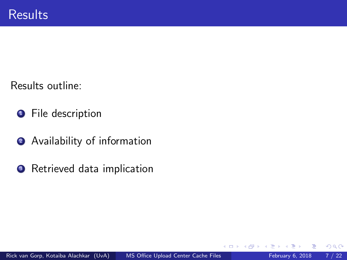Results outline:

- **1** File description
- **2** Availability of information
- <sup>3</sup> Retrieved data implication

4 D F

 $QQ$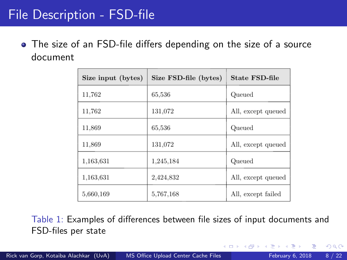## File Description - FSD-file

The size of an FSD-file differs depending on the size of a source document

| Size input (bytes) | Size FSD-file (bytes) | State FSD-file     |  |
|--------------------|-----------------------|--------------------|--|
| 11,762             | 65,536                | Queued             |  |
| 11,762             | 131,072               | All, except queued |  |
| 11,869             | 65,536                | Queued             |  |
| 11,869             | 131,072               | All, except queued |  |
| 1,163,631          | 1,245,184             | Queued             |  |
| 1.163.631          | 2,424,832             | All, except queued |  |
| 5,660,169          | 5,767,168             | All, except failed |  |

Table 1: Examples of differences between file sizes of input documents and FSD-files per state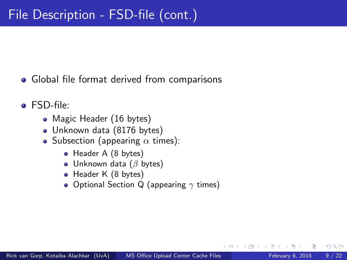- Global file format derived from comparisons
- FSD-file:
	- Magic Header (16 bytes)
	- Unknown data (8176 bytes)
	- Subsection (appearing  $\alpha$  times):
		- Header A (8 bytes)
		- $\bullet$  Unknown data ( $\beta$  bytes)
		- Header K (8 bytes)
		- Optional Section Q (appearing  $\gamma$  times)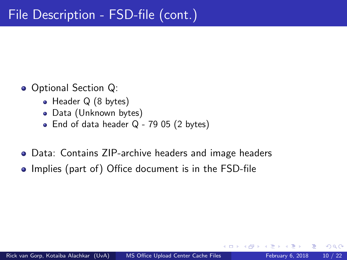- Optional Section Q:
	- Header Q (8 bytes)
	- Data (Unknown bytes)
	- End of data header  $Q 7905$  (2 bytes)
- Data: Contains ZIP-archive headers and image headers
- Implies (part of) Office document is in the FSD-file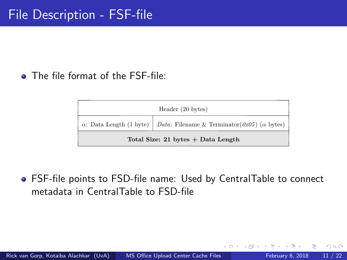The file format of the FSF-file:

| Header (20 bytes)                    |                                                                                       |  |  |  |
|--------------------------------------|---------------------------------------------------------------------------------------|--|--|--|
|                                      | $\alpha$ : Data Length (1 byte)   Data: Filename & Terminator(0x05) ( $\alpha$ bytes) |  |  |  |
| Total Size: 21 bytes $+$ Data Length |                                                                                       |  |  |  |

FSF-file points to FSD-file name: Used by CentralTable to connect metadata in CentralTable to FSD-file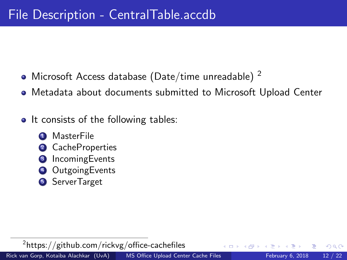- Microsoft Access database (Date/time unreadable)  $^2$
- Metadata about documents submitted to Microsoft Upload Center
- It consists of the following tables:
	- **MasterFile**
	- **CacheProperties**
	- **IncomingEvents**
	- **OutgoingEvents**
	- **5** ServerTarget

 $^{2}$ https: $//$ github.com $/$ rickvg $/$ office-cachefiles

Rick van Gorp, Kotaiba Alachkar (UvA) [MS Office Upload Center Cache Files](#page-0-0) February 6, 2018 12 / 22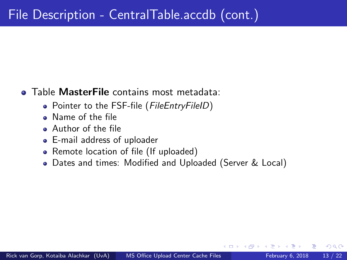#### **• Table MasterFile contains most metadata:**

- Pointer to the FSF-file (FileEntryFileID)
- Name of the file
- Author of the file
- E-mail address of uploader
- Remote location of file (If uploaded)
- Dates and times: Modified and Uploaded (Server & Local)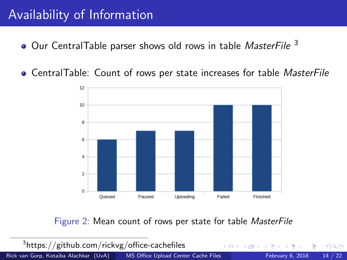## Availability of Information

- $\bullet$  Our CentralTable parser shows old rows in table *MasterFile*  $^3$
- **CentralTable: Count of rows per state increases for table MasterFile**



Figure 2: Mean count of rows per state for table MasterFile

 $^3$ https://github.com/rickvg/office-cachefiles  $\Omega$ Rick van Gorp, Kotaiba Alachkar (UvA) [MS Office Upload Center Cache Files](#page-0-0) February 6, 2018 14 / 22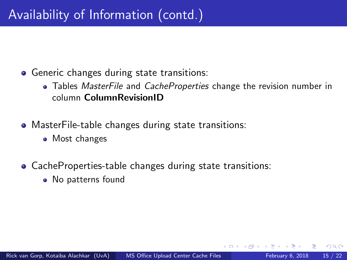- **•** Generic changes during state transitions:
	- Tables *MasterFile* and *CacheProperties* change the revision number in column ColumnRevisionID
- MasterFile-table changes during state transitions:
	- Most changes
- CacheProperties-table changes during state transitions:
	- No patterns found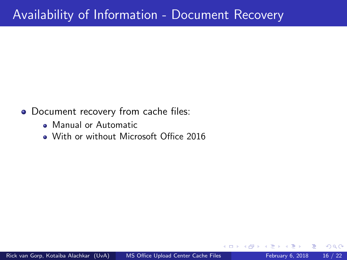## Availability of Information - Document Recovery

- Document recovery from cache files:
	- Manual or Automatic
	- With or without Microsoft Office 2016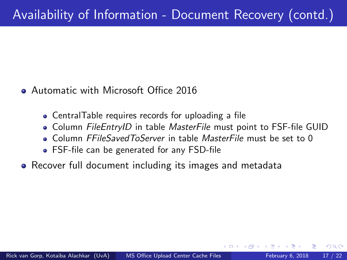- **Automatic with Microsoft Office 2016** 
	- CentralTable requires records for uploading a file
	- Column FileEntryID in table MasterFile must point to FSF-file GUID
	- **Column FFileSavedToServer in table MasterFile must be set to 0**
	- FSF-file can be generated for any FSD-file
- Recover full document including its images and metadata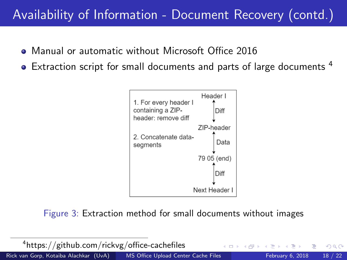# Availability of Information - Document Recovery (contd.)

- Manual or automatic without Microsoft Office 2016
- Extraction script for small documents and parts of large documents <sup>4</sup>



Figure 3: Extraction method for small documents without images

| <sup>4</sup> https://github.com/rickvg/office-cachefiles |                                     | - ∢ ロ ▶ . ∢ 伊 ▶ -∢ ヨ ▶ - (ヨ ▶ ・ ヨ ・ ・ つ ۹, ೧× |  |
|----------------------------------------------------------|-------------------------------------|-----------------------------------------------|--|
| Rick van Gorp, Kotaiba Alachkar (UvA)                    | MS Office Upload Center Cache Files | February 6, 2018 18 / 22                      |  |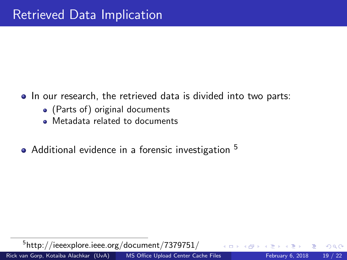- In our research, the retrieved data is divided into two parts:
	- (Parts of) original documents
	- Metadata related to documents
- Additional evidence in a forensic investigation <sup>5</sup>

 $^{5}$ http://ieeexplore.ieee.org/document/7379751/ Rick van Gorp, Kotaiba Alachkar (UvA) [MS Office Upload Center Cache Files](#page-0-0) February 6, 2018 19 / 22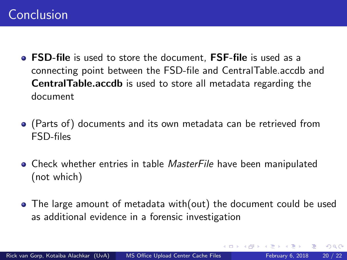- **FSD-file** is used to store the document. **FSF-file** is used as a connecting point between the FSD-file and CentralTable.accdb and CentralTable.accdb is used to store all metadata regarding the document
- (Parts of) documents and its own metadata can be retrieved from FSD-files
- **•** Check whether entries in table *MasterFile* have been manipulated (not which)
- The large amount of metadata with(out) the document could be used as additional evidence in a forensic investigation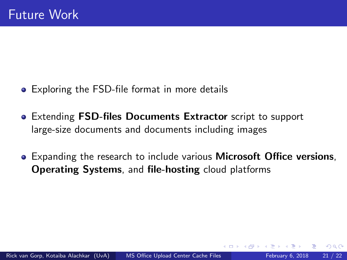- Exploring the FSD-file format in more details
- Extending FSD-files Documents Extractor script to support large-size documents and documents including images
- Expanding the research to include various **Microsoft Office versions**, Operating Systems, and file-hosting cloud platforms